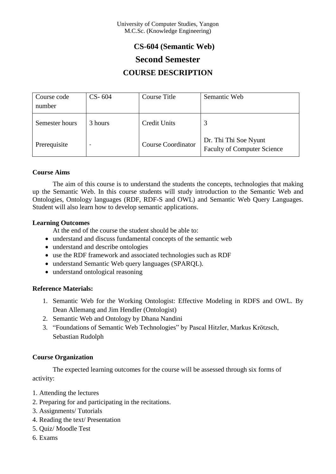## **CS-604 (Semantic Web)**

# **Second Semester**

## **COURSE DESCRIPTION**

| Course code<br>number | $CS - 604$               | Course Title              | Semantic Web                                                |
|-----------------------|--------------------------|---------------------------|-------------------------------------------------------------|
| Semester hours        | 3 hours                  | Credit Units              | 3                                                           |
| Prerequisite          | $\overline{\phantom{0}}$ | <b>Course Coordinator</b> | Dr. Thi Thi Soe Nyunt<br><b>Faculty of Computer Science</b> |

### **Course Aims**

The aim of this course is to understand the students the concepts, technologies that making up the Semantic Web. In this course students will study introduction to the Semantic Web and Ontologies, Ontology languages (RDF, RDF-S and OWL) and Semantic Web Query Languages. Student will also learn how to develop semantic applications.

### **Learning Outcomes**

At the end of the course the student should be able to:

- understand and discuss fundamental concepts of the semantic web
- understand and describe ontologies
- use the RDF framework and associated technologies such as RDF
- understand Semantic Web query languages (SPARQL).
- understand ontological reasoning

### **Reference Materials:**

- 1. Semantic Web for the Working Ontologist: Effective Modeling in RDFS and OWL. By Dean Allemang and Jim Hendler (Ontologist)
- 2. Semantic Web and Ontology by Dhana Nandini
- 3. ["Foundations of Semantic Web Technologies"](http://www.semantic-web-book.org/) by Pascal Hitzler, Markus Krötzsch, Sebastian Rudolph

### **Course Organization**

The expected learning outcomes for the course will be assessed through six forms of activity:

- 1. Attending the lectures
- 2. Preparing for and participating in the recitations.
- 3. Assignments/ Tutorials
- 4. Reading the text/ Presentation
- 5. Quiz/ Moodle Test
- 6. Exams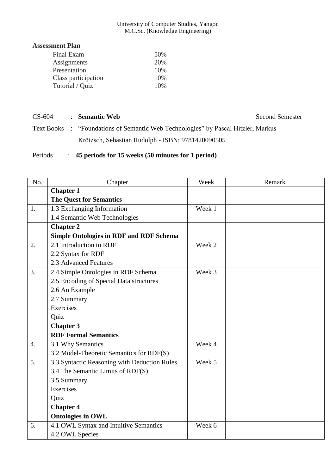#### University of Computer Studies, Yangon M.C.Sc. (Knowledge Engineering)

### **Assessment Plan**

| Final Exam          | 50% |
|---------------------|-----|
| Assignments         | 20% |
| Presentation        | 10% |
| Class participation | 10% |
| Tutorial / Quiz     | 10% |
|                     |     |

### CS-604 : **Semantic Web** Second Semester

Text Books : ["Foundations of Semantic Web Technologies"](http://www.semantic-web-book.org/) by Pascal Hitzler, Markus Krötzsch, Sebastian Rudolph - ISBN: 9781420090505

### Periods : **45 periods for 15 weeks (50 minutes for 1 period)**

| No.              | Chapter                                        | Week   | Remark |
|------------------|------------------------------------------------|--------|--------|
|                  | <b>Chapter 1</b>                               |        |        |
|                  | <b>The Quest for Semantics</b>                 |        |        |
| 1.               | 1.3 Exchanging Information                     | Week 1 |        |
|                  | 1.4 Semantic Web Technologies                  |        |        |
|                  | <b>Chapter 2</b>                               |        |        |
|                  | <b>Simple Ontologies in RDF and RDF Schema</b> |        |        |
| 2.               | 2.1 Introduction to RDF                        | Week 2 |        |
|                  | 2.2 Syntax for RDF                             |        |        |
|                  | 2.3 Advanced Features                          |        |        |
| 3.               | 2.4 Simple Ontologies in RDF Schema            | Week 3 |        |
|                  | 2.5 Encoding of Special Data structures        |        |        |
|                  | 2.6 An Example                                 |        |        |
|                  | 2.7 Summary                                    |        |        |
|                  | Exercises                                      |        |        |
|                  | Quiz                                           |        |        |
|                  | <b>Chapter 3</b>                               |        |        |
|                  | <b>RDF Formal Semantics</b>                    |        |        |
| $\overline{4}$ . | 3.1 Why Semantics                              | Week 4 |        |
|                  | 3.2 Model-Theoretic Semantics for RDF(S)       |        |        |
| 5 <sub>1</sub>   | 3.3 Syntactic Reasoning with Deduction Rules   | Week 5 |        |
|                  | 3.4 The Semantic Limits of RDF(S)              |        |        |
|                  | 3.5 Summary                                    |        |        |
|                  | Exercises                                      |        |        |
|                  | Quiz                                           |        |        |
|                  | <b>Chapter 4</b>                               |        |        |
|                  | <b>Ontologies in OWL</b>                       |        |        |
| 6.               | 4.1 OWL Syntax and Intuitive Semantics         | Week 6 |        |
|                  | 4.2 OWL Species                                |        |        |